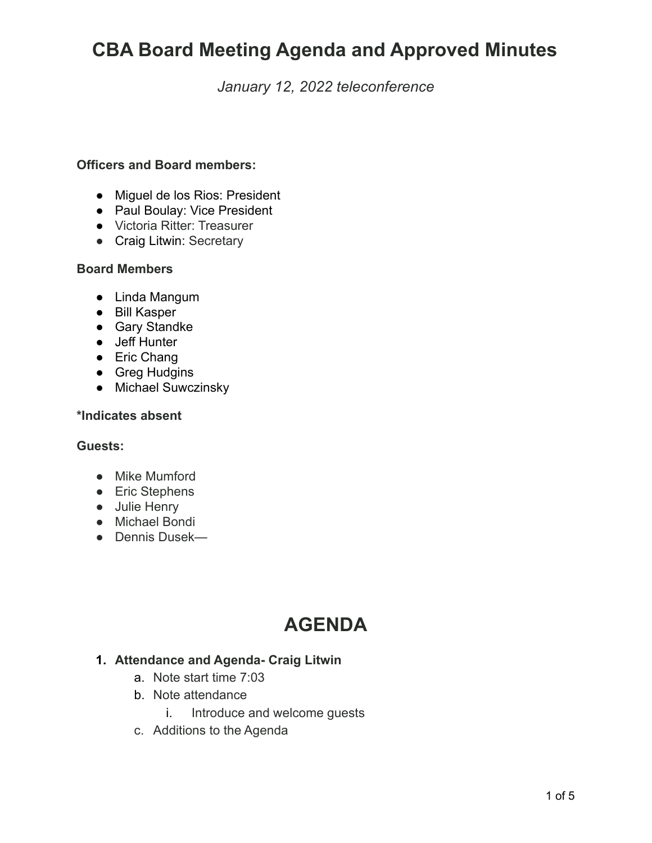### *January 12, 2022 teleconference*

#### **Officers and Board members:**

- Miguel de los Rios: President
- Paul Boulay: Vice President
- Victoria Ritter: Treasurer
- Craig Litwin: Secretary

#### **Board Members**

- Linda Mangum
- Bill Kasper
- Gary Standke
- Jeff Hunter
- Eric Chang
- Greg Hudgins
- Michael Suwczinsky

#### **\*Indicates absent**

#### **Guests:**

- **●** Mike Mumford
- Eric Stephens
- Julie Henry
- Michael Bondi
- Dennis Dusek—

# **AGENDA**

#### **1. Attendance and Agenda- Craig Litwin**

- a. Note start time 7:03
- b. Note attendance
	- i. Introduce and welcome guests
- c. Additions to the Agenda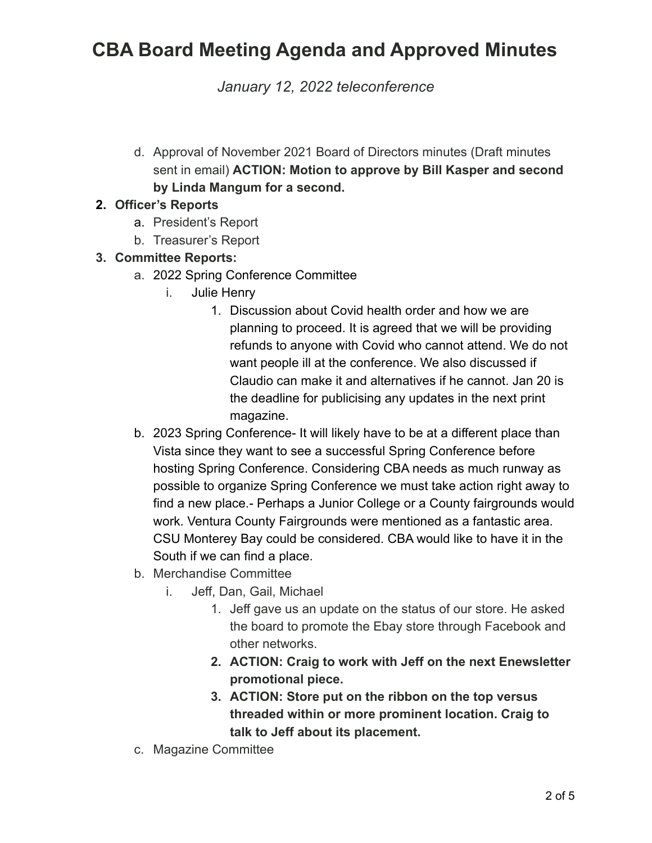*January 12, 2022 teleconference*

d. Approval of November 2021 Board of Directors minutes (Draft minutes sent in email) **ACTION: Motion to approve by Bill Kasper and second by Linda Mangum for a second.**

### **2. Officer's Reports**

- a. President's Report
- b. Treasurer's Report

### **3. Committee Reports:**

- a. 2022 Spring Conference Committee
	- i. Julie Henry
		- 1. Discussion about Covid health order and how we are planning to proceed. It is agreed that we will be providing refunds to anyone with Covid who cannot attend. We do not want people ill at the conference. We also discussed if Claudio can make it and alternatives if he cannot. Jan 20 is the deadline for publicising any updates in the next print magazine.
- b. 2023 Spring Conference- It will likely have to be at a different place than Vista since they want to see a successful Spring Conference before hosting Spring Conference. Considering CBA needs as much runway as possible to organize Spring Conference we must take action right away to find a new place.- Perhaps a Junior College or a County fairgrounds would work. Ventura County Fairgrounds were mentioned as a fantastic area. CSU Monterey Bay could be considered. CBA would like to have it in the South if we can find a place.
- b. Merchandise Committee
	- i. Jeff, Dan, Gail, Michael
		- 1. Jeff gave us an update on the status of our store. He asked the board to promote the Ebay store through Facebook and other networks.
		- **2. ACTION: Craig to work with Jeff on the next Enewsletter promotional piece.**
		- **3. ACTION: Store put on the ribbon on the top versus threaded within or more prominent location. Craig to talk to Jeff about its placement.**
- c. Magazine Committee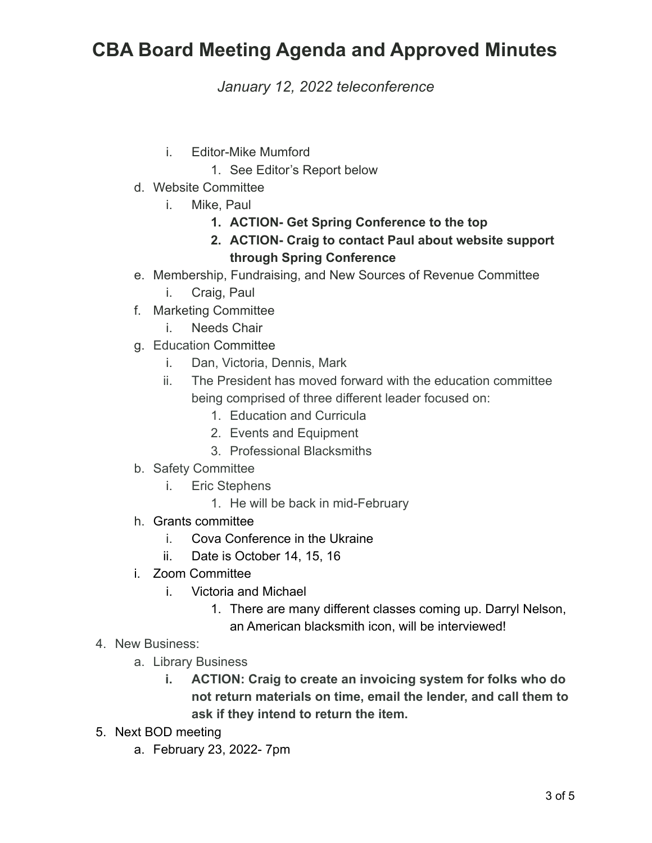*January 12, 2022 teleconference*

- i. Editor-Mike Mumford
	- 1. See Editor's Report below
- d. Website Committee
	- i. Mike, Paul
		- **1. ACTION- Get Spring Conference to the top**
		- **2. ACTION- Craig to contact Paul about website support through Spring Conference**
- e. Membership, Fundraising, and New Sources of Revenue Committee
	- i. Craig, Paul
- f. Marketing Committee
	- i. Needs Chair
- g. Education Committee
	- i. Dan, Victoria, Dennis, Mark
	- ii. The President has moved forward with the education committee being comprised of three different leader focused on:
		- 1. Education and Curricula
		- 2. Events and Equipment
		- 3. Professional Blacksmiths
- b. Safety Committee
	- i. Eric Stephens
		- 1. He will be back in mid-February
- h. Grants committee
	- i. Cova Conference in the Ukraine
	- ii. Date is October 14, 15, 16
- i. Zoom Committee
	- i. Victoria and Michael
		- 1. There are many different classes coming up. Darryl Nelson, an American blacksmith icon, will be interviewed!
- 4. New Business:
	- a. Library Business
		- **i. ACTION: Craig to create an invoicing system for folks who do not return materials on time, email the lender, and call them to ask if they intend to return the item.**
- 5. Next BOD meeting
	- a. February 23, 2022- 7pm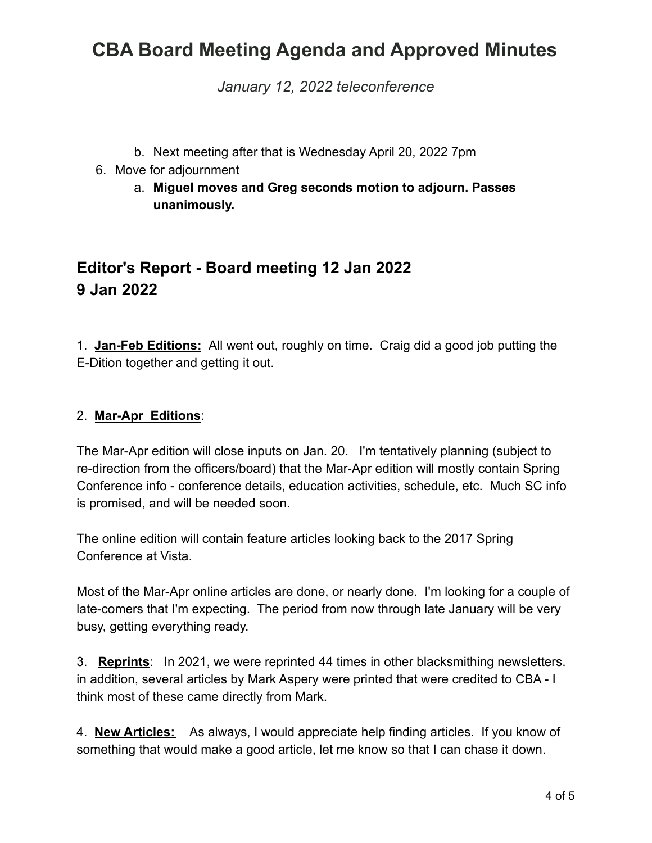*January 12, 2022 teleconference*

- b. Next meeting after that is Wednesday April 20, 2022 7pm
- 6. Move for adjournment
	- a. **Miguel moves and Greg seconds motion to adjourn. Passes unanimously.**

### **Editor's Report - Board meeting 12 Jan 2022 9 Jan 2022**

1. **Jan-Feb Editions:** All went out, roughly on time. Craig did a good job putting the E-Dition together and getting it out.

#### 2. **Mar-Apr Editions**:

The Mar-Apr edition will close inputs on Jan. 20. I'm tentatively planning (subject to re-direction from the officers/board) that the Mar-Apr edition will mostly contain Spring Conference info - conference details, education activities, schedule, etc. Much SC info is promised, and will be needed soon.

The online edition will contain feature articles looking back to the 2017 Spring Conference at Vista.

Most of the Mar-Apr online articles are done, or nearly done. I'm looking for a couple of late-comers that I'm expecting. The period from now through late January will be very busy, getting everything ready.

3. **Reprints**: In 2021, we were reprinted 44 times in other blacksmithing newsletters. in addition, several articles by Mark Aspery were printed that were credited to CBA - I think most of these came directly from Mark.

4. **New Articles:** As always, I would appreciate help finding articles. If you know of something that would make a good article, let me know so that I can chase it down.